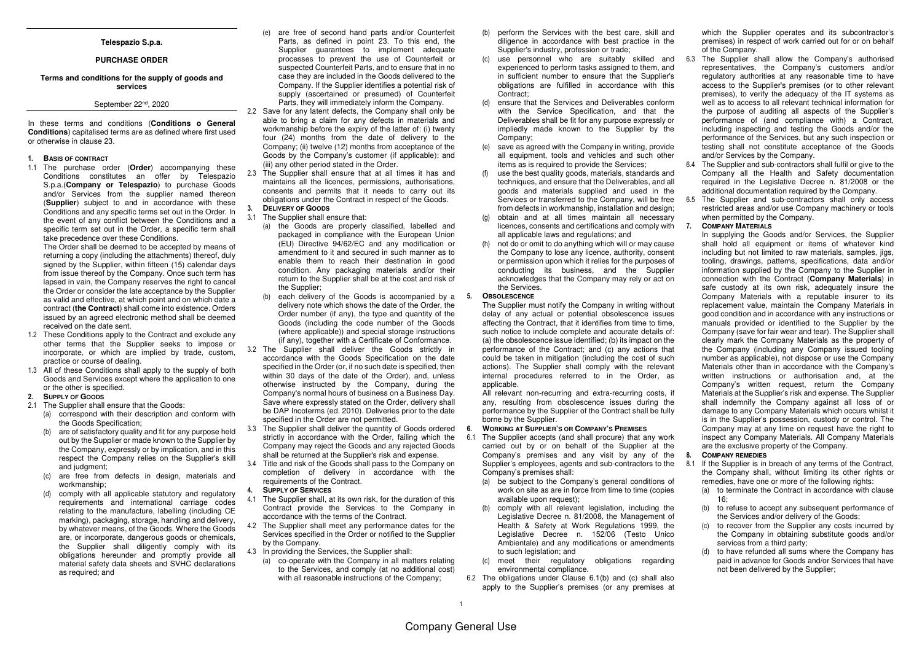### **Telespazio S.p.a.**

#### **PURCHASE ORDER**

## **Terms and conditions for the supply of goods and services**

# September 22<sup>nd</sup>, 2020

In these terms and conditions (**Conditions o General Conditions**) capitalised terms are as defined where first usedor otherwise in clause 23.

#### **1. BASIS OF CONTRACT**

 1.1 The purchase order (**Order**) accompanying these Conditions constitutes an offer by Telespazio S.p.a.(**Company or Telespazio**) to purchase Goods and/or Services from the supplier named thereon (**Supplier**) subject to and in accordance with these Conditions and any specific terms set out in the Order. In the event of any conflict between the Conditions and a specific term set out in the Order, a specific term shall take precedence over these Conditions.

 The Order shall be deemed to be accepted by means of returning a copy (including the attachments) thereof, duly signed by the Supplier, within fifteen (15) calendar days from issue thereof by the Company. Once such term has lapsed in vain, the Company reserves the right to cancel the Order or consider the late acceptance by the Supplier as valid and effective, at which point and on which date a contract (**the Contract**) shall come into existence. Orders issued by an agreed electronic method shall be deemed received on the date sent.

- 1.2 These Conditions apply to the Contract and exclude any other terms that the Supplier seeks to impose or incorporate, or which are implied by trade, custom,practice or course of dealing.
- 1.3 All of these Conditions shall apply to the supply of both Goods and Services except where the application to one or the other is specified.
- **2. SUPPLY OF GOODS**
- 2.1 The Supplier shall ensure that the Goods:
	- (a) correspond with their description and conform withthe Goods Specification;
	- (b) are of satisfactory quality and fit for any purpose held out by the Supplier or made known to the Supplier by the Company, expressly or by implication, and in this respect the Company relies on the Supplier's skill and judgment;
	- (c) are free from defects in design, materials and workmanship;
	- (d) comply with all applicable statutory and regulatory requirements and international carriage codes relating to the manufacture, labelling (including CE marking), packaging, storage, handling and delivery, by whatever means, of the Goods. Where the Goods are, or incorporate, dangerous goods or chemicals, the Supplier shall diligently comply with its obligations hereunder and promptly provide all material safety data sheets and SVHC declarations as required; and
- (e) are free of second hand parts and/or Counterfeit Parts, as defined in point 23. To this end, the Supplier guarantees to implement adequate processes to prevent the use of Counterfeit or suspected Counterfeit Parts, and to ensure that in no case they are included in the Goods delivered to the Company. If the Supplier identifies a potential risk of supply (ascertained or presumed) of Counterfeit Parts, they will immediately inform the Company.
- 2.2 Save for any latent defects, the Company shall only be able to bring a claim for any defects in materials and workmanship before the expiry of the latter of: (i) twenty four (24) months from the date of delivery to the Company; (ii) twelve (12) months from acceptance of the Goods by the Company's customer (if applicable); and (iii) any other period stated in the Order.
- 2.3 The Supplier shall ensure that at all times it has and maintains all the licences, permissions, authorisations, consents and permits that it needs to carry out itsobligations under the Contract in respect of the Goods. **3. DELIVERY OF GOODS**

# 3.1 The Supplier shall ensure that:

- (a) the Goods are properly classified, labelled and packaged in compliance with the European Union (EU) Directive 94/62/EC and any modification or amendment to it and secured in such manner as to enable them to reach their destination in good condition. Any packaging materials and/or their return to the Supplier shall be at the cost and risk of the Supplier;
- (b) each delivery of the Goods is accompanied by a **5. OBSOLESCENCE** delivery note which shows the date of the Order, the Order number (if any), the type and quantity of the Goods (including the code number of the Goods (where applicable)) and special storage instructions (if any), together with a Certificate of Conformance.
- 3.2 The Supplier shall deliver the Goods strictly in accordance with the Goods Specification on the date specified in the Order (or, if no such date is specified, then within 30 days of the date of the Order), and, unless otherwise instructed by the Company, during the Company's normal hours of business on a Business Day. Save where expressly stated on the Order, delivery shall be DAP Incoterms (ed. 2010). Deliveries prior to the date specified in the Order are not permitted.
- 3.3 The Supplier shall deliver the quantity of Goods ordered strictly in accordance with the Order, failing which the Company may reject the Goods and any rejected Goodsshall be returned at the Supplier's risk and expense.
- 3.4 Title and risk of the Goods shall pass to the Company on completion of delivery in accordance with the requirements of the Contract.

#### **4. SUPPLY OF SERVICES**

- 4.1 The Supplier shall, at its own risk, for the duration of this Contract provide the Services to the Company in accordance with the terms of the Contract.
- 4.2 The Supplier shall meet any performance dates for the Services specified in the Order or notified to the Supplier by the Company.
- 4.3 In providing the Services, the Supplier shall:
- (a) co-operate with the Company in all matters relating to the Services, and comply (at no additional cost)with all reasonable instructions of the Company;
- (b) perform the Services with the best care, skill and diligence in accordance with best practice in the Supplier's industry, profession or trade;
- (c) use personnel who are suitably skilled and experienced to perform tasks assigned to them, and in sufficient number to ensure that the Supplier's obligations are fulfilled in accordance with this Contract:
- (d) ensure that the Services and Deliverables conform with the Service Specification, and that the Deliverables shall be fit for any purpose expressly or impliedly made known to the Supplier by the Company;
- (e) save as agreed with the Company in writing, provide all equipment, tools and vehicles and such other items as is required to provide the Services;
- (f) use the best quality goods, materials, standards and techniques, and ensure that the Deliverables, and all goods and materials supplied and used in the Services or transferred to the Company, will be free from defects in workmanship, installation and design;
- (g) obtain and at all times maintain all necessary licences, consents and certifications and comply with all applicable laws and regulations; and
- (h) not do or omit to do anything which will or may cause the Company to lose any licence, authority, consent or permission upon which it relies for the purposes of conducting its business, and the Supplier acknowledges that the Company may rely or act on the Services.

 The Supplier must notify the Company in writing without delay of any actual or potential obsolescence issues affecting the Contract, that it identifies from time to time, such notice to include complete and accurate details of: (a) the obsolescence issue identified; (b) its impact on the performance of the Contract; and (c) any actions that could be taken in mitigation (including the cost of such actions). The Supplier shall comply with the relevant internal procedures referred to in the Order, as applicable.

 All relevant non-recurring and extra-recurring costs, if any, resulting from obsolescence issues during the performance by the Supplier of the Contract shall be fully borne by the Supplier.

#### **6. WORKING AT SUPPLIER'S OR COMPANY'S PREMISES**

- 6.1 The Supplier accepts (and shall procure) that any work carried out by or on behalf of the Supplier at the Company's premises and any visit by any of the Supplier's employees, agents and sub-contractors to the Company's premises shall:
	- (a) be subject to the Company's general conditions of work on site as are in force from time to time (copies available upon request):
	- (b) comply with all relevant legislation, including the Legislative Decree n. 81/2008, the Management of Health & Safety at Work Regulations 1999, the Legislative Decree n. 152/06 (Testo Unico Ambientale) and any modifications or amendments to such legislation; and
	- (c) meet their regulatory obligations regarding environmental compliance.
- 6.2 The obligations under Clause 6.1(b) and (c) shall also apply to the Supplier's premises (or any premises at

which the Supplier operates and its subcontractor's premises) in respect of work carried out for or on behalf of the Company.

- 6.3 The Supplier shall allow the Company's authorised representatives, the Company's customers and/or regulatory authorities at any reasonable time to have access to the Supplier's premises (or to other relevant premises), to verify the adequacy of the IT systems as well as to access to all relevant technical information for the purpose of auditing all aspects of the Supplier's performance of (and compliance with) a Contract, including inspecting and testing the Goods and/or the performance of the Services, but any such inspection or testing shall not constitute acceptance of the Goods and/or Services by the Company.
- 6.4 The Supplier and sub-contractors shall fulfil or give to the Company all the Health and Safety documentation required in the Legislative Decree n. 81/2008 or the additional documentation required by the Company.
- 6.5 The Supplier and sub-contractors shall only access restricted areas and/or use Company machinery or tools when permitted by the Company.

#### **7. COMPANY MATERIALS**

 In supplying the Goods and/or Services, the Supplier shall hold all equipment or items of whatever kind including but not limited to raw materials, samples, jigs, tooling, drawings, patterns, specifications, data and/or information supplied by the Company to the Supplier in connection with the Contract (**Company Materials**) in safe custody at its own risk, adequately insure the Company Materials with a reputable insurer to its replacement value, maintain the Company Materials in good condition and in accordance with any instructions or manuals provided or identified to the Supplier by the Company (save for fair wear and tear). The Supplier shall clearly mark the Company Materials as the property of the Company (including any Company issued tooling number as applicable), not dispose or use the Company Materials other than in accordance with the Company's written instructions or authorisation and, at the Company's written request, return the Company Materials at the Supplier's risk and expense. The Supplier shall indemnify the Company against all loss of or damage to any Company Materials which occurs whilst it is in the Supplier's possession, custody or control. The Company may at any time on request have the right to inspect any Company Materials. All Company Materials are the exclusive property of the Company.

#### **8. COMPANY REMEDIES**

- 8.1 If the Supplier is in breach of any terms of the Contract, the Company shall, without limiting its other rights or remedies, have one or more of the following rights:
	- (a) to terminate the Contract in accordance with clause  $16<sup>°</sup>$
	- (b) to refuse to accept any subsequent performance of the Services and/or delivery of the Goods;
	- (c) to recover from the Supplier any costs incurred by the Company in obtaining substitute goods and/or services from a third party;
	- (d) to have refunded all sums where the Company has paid in advance for Goods and/or Services that havenot been delivered by the Supplier;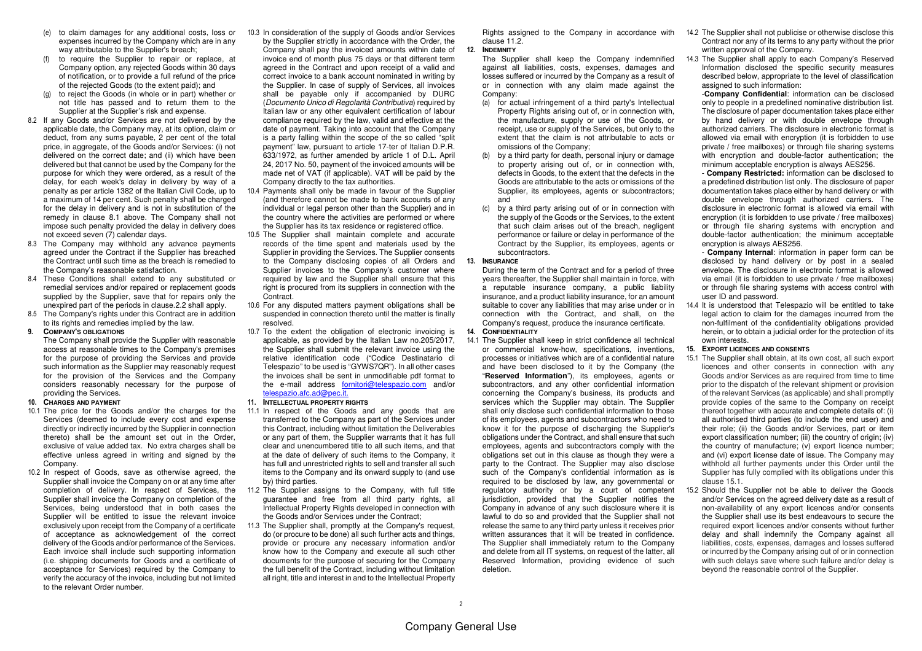- (e) to claim damages for any additional costs, loss or expenses incurred by the Company which are in any way attributable to the Supplier's breach:
- (f) to require the Supplier to repair or replace, at Company option, any rejected Goods within 30 days of notification, or to provide a full refund of the price of the rejected Goods (to the extent paid); and
- (g) to reject the Goods (in whole or in part) whether or not title has passed and to return them to the Supplier at the Supplier's risk and expense.
- 8.2 If any Goods and/or Services are not delivered by the applicable date, the Company may, at its option, claim or deduct, from any sums payable, 2 per cent of the total price, in aggregate, of the Goods and/or Services: (i) not delivered on the correct date; and (ii) which have been delivered but that cannot be used by the Company for the purpose for which they were ordered, as a result of the delay, for each week's delay in delivery by way of a penalty as per article 1382 of the Italian Civil Code, up to a maximum of 14 per cent. Such penalty shall be charged for the delay in delivery and is not in substitution of the remedy in clause 8.1 above. The Company shall not impose such penalty provided the delay in delivery does not exceed seven (7) calendar days.
- 8.3 The Company may withhold any advance payments agreed under the Contract if the Supplier has breached the Contract until such time as the breach is remedied to the Company's reasonable satisfaction.
- 8.4 These Conditions shall extend to any substituted or remedial services and/or repaired or replacement goods supplied by the Supplier, save that for repairs only the unexpired part of the periods in clause.2.2 shall apply.
- 8.5 The Company's rights under this Contract are in addition to its rights and remedies implied by the law.

#### **9. COMPANY'S OBLIGATIONS**

 The Company shall provide the Supplier with reasonable access at reasonable times to the Company's premises for the purpose of providing the Services and provide such information as the Supplier may reasonably request for the provision of the Services and the Company considers reasonably necessary for the purpose of providing the Services.

- **10. CHARGES AND PAYMENT**
- 10.1 The price for the Goods and/or the charges for the Services (deemed to include every cost and expense directly or indirectly incurred by the Supplier in connection thereto) shall be the amount set out in the Order, exclusive of value added tax. No extra charges shall be effective unless agreed in writing and signed by the Company.
- 10.2 In respect of Goods, save as otherwise agreed, the Supplier shall invoice the Company on or at any time after completion of delivery. In respect of Services, the Supplier shall invoice the Company on completion of the Services, being understood that in both cases the Supplier will be entitled to issue the relevant invoice exclusively upon receipt from the Company of a certificate of acceptance as acknowledgement of the correct delivery of the Goods and/or performance of the Services. Each invoice shall include such supporting information (i.e. shipping documents for Goods and a certificate of acceptance for Services) required by the Company to verify the accuracy of the invoice, including but not limited to the relevant Order number.
- 10.3 In consideration of the supply of Goods and/or Services by the Supplier strictly in accordance with the Order, the Company shall pay the invoiced amounts within date of invoice end of month plus 75 days or that different term agreed in the Contract and upon receipt of a valid and correct invoice to a bank account nominated in writing by the Supplier. In case of supply of Services, all invoices shall be payable only if accompanied by DURC (Documento Unico di Regolarità Contributiva) required by Italian law or any other equivalent certification of labour compliance required by the law, valid and effective at the date of payment. Taking into account that the Company is a party falling within the scope of the so called "split payment" law, pursuant to article 17-ter of Italian D.P.R. 633/1972, as further amended by article 1 of D.L. April 24, 2017 No. 50, payment of the invoiced amounts will be made net of VAT (if applicable). VAT will be paid by the Company directly to the tax authorities.
- 10.4 Payments shall only be made in favour of the Supplier (and therefore cannot be made to bank accounts of any individual or legal person other than the Supplier) and in the country where the activities are performed or where the Supplier has its tax residence or registered office.
- 10.5 The Supplier shall maintain complete and accurate records of the time spent and materials used by the Supplier in providing the Services. The Supplier consents to the Company disclosing copies of all Orders and Supplier invoices to the Company's customer where required by law and the Supplier shall ensure that this right is procured from its suppliers in connection with the **Contract**
- 10.6 For any disputed matters payment obligations shall be suspended in connection thereto until the matter is finally resolved.
- 10.7 To the extent the obligation of electronic invoicing is applicable, as provided by the Italian Law no.205/2017, the Supplier shall submit the relevant invoice using the relative identification code ("Codice Destinatario di Telespazio" to be used is "GYWS7QR"). In all other cases the invoices shall be sent in unmodifiable pdf format to the e-mail address fornitori@telespazio.com and/or telespazio.afc.ad@pec.it.
- **11. INTELLECTUAL PROPERTY RIGHTS**
- 11.1 In respect of the Goods and any goods that are transferred to the Company as part of the Services under this Contract, including without limitation the Deliverables or any part of them, the Supplier warrants that it has full clear and unencumbered title to all such items, and that at the date of delivery of such items to the Company, it has full and unrestricted rights to sell and transfer all such items to the Company and its onward supply to (and use by) third parties.
- 11.2 The Supplier assigns to the Company, with full title guarantee and free from all third party rights, all Intellectual Property Rights developed in connection with the Goods and/or Services under the Contract;
- 11.3 The Supplier shall, promptly at the Company's request, do (or procure to be done) all such further acts and things, provide or procure any necessary information and/or know how to the Company and execute all such other documents for the purpose of securing for the Company the full benefit of the Contract, including without limitation all right, title and interest in and to the Intellectual Property

clause 11.2

**12. INDEMNITY**

 The Supplier shall keep the Company indemnified against all liabilities, costs, expenses, damages and losses suffered or incurred by the Company as a result of or in connection with any claim made against the Company:

- (a) for actual infringement of a third party's Intellectual Property Rights arising out of, or in connection with, the manufacture, supply or use of the Goods, or receipt, use or supply of the Services, but only to the extent that the claim is not attributable to acts or omissions of the Company;
- (b) by a third party for death, personal injury or damage to property arising out of, or in connection with, defects in Goods, to the extent that the defects in the Goods are attributable to the acts or omissions of the Supplier, its employees, agents or subcontractors; and
- (c) by a third party arising out of or in connection with the supply of the Goods or the Services, to the extent that such claim arises out of the breach, negligent performance or failure or delay in performance of the Contract by the Supplier, its employees, agents or subcontractors.

#### **13. INSURANCE**

 During the term of the Contract and for a period of three years thereafter, the Supplier shall maintain in force, with a reputable insurance company, a public liability insurance, and a product liability insurance, for an amount suitable to cover any liabilities that may arise under or in connection with the Contract, and shall, on the Company's request, produce the insurance certificate.

- **14. CONFIDENTIALITY**
- 14.1 The Supplier shall keep in strict confidence all technical or commercial know-how, specifications, inventions, processes or initiatives which are of a confidential nature and have been disclosed to it by the Company (the "**Reserved Information**"), its employees, agents or subcontractors, and any other confidential information concerning the Company's business, its products and services which the Supplier may obtain. The Supplier shall only disclose such confidential information to those of its employees, agents and subcontractors who need to know it for the purpose of discharging the Supplier's obligations under the Contract, and shall ensure that such employees, agents and subcontractors comply with the obligations set out in this clause as though they were a party to the Contract. The Supplier may also disclose such of the Company's confidential information as is required to be disclosed by law, any governmental or regulatory authority or by a court of competent jurisdiction, provided that the Supplier notifies the Company in advance of any such disclosure where it is lawful to do so and provided that the Supplier shall not release the same to any third party unless it receives prior written assurances that it will be treated in confidence. The Supplier shall immediately return to the Company and delete from all IT systems, on request of the latter, all Reserved Information, providing evidence of such deletion.
- Rights assigned to the Company in accordance with 14.2 The Supplier shall not publicise or otherwise disclose this Contract nor any of its terms to any party without the prior written approval of the Company.
	- 14.3 The Supplier shall apply to each Company's Reserved Information disclosed the specific security measures described below, appropriate to the level of classification assigned to such information: -**Company Confidential**: information can be disclosed

 only to people in a predefined nominative distribution list. The disclosure of paper documentation takes place either by hand delivery or with double envelope through authorized carriers. The disclosure in electronic format is allowed via email with encryption (it is forbidden to use private / free mailboxes) or through file sharing systems with encryption and double-factor authentication; the minimum acceptable encryption is always AES256.

 - **Company Restricted:** information can be disclosed to a predefined distribution list only. The disclosure of paper documentation takes place either by hand delivery or with double envelope through authorized carriers. The disclosure in electronic format is allowed via email with encryption (it is forbidden to use private / free mailboxes) or through file sharing systems with encryption and double-factor authentication; the minimum acceptable encryption is always AES256.

 - **Company Internal**: information in paper form can be disclosed by hand delivery or by post in a sealed envelope. The disclosure in electronic format is allowed via email (it is forbidden to use private / free mailboxes) or through file sharing systems with access control with user ID and password.

- 14.4 It is understood that Telespazio will be entitled to take legal action to claim for the damages incurred from the non-fulfilment of the confidentiality obligations provided herein, or to obtain a judicial order for the protection of its own interests.
- **15. EXPORT LICENCES AND CONSENTS**
- 15.1 The Supplier shall obtain, at its own cost, all such export licences and other consents in connection with any Goods and/or Services as are required from time to time prior to the dispatch of the relevant shipment or provision of the relevant Services (as applicable) and shall promptly provide copies of the same to the Company on receipt thereof together with accurate and complete details of: (i) all authorised third parties (to include the end user) and their role; (ii) the Goods and/or Services, part or item export classification number; (iii) the country of origin; (iv) the country of manufacture; (v) export licence number; and (vi) export license date of issue. The Company may withhold all further payments under this Order until the Supplier has fully complied with its obligations under this clause 15.1.
- 15.2 Should the Supplier not be able to deliver the Goods and/or Services on the agreed delivery date as a result of non-availability of any export licences and/or consents the Supplier shall use its best endeavours to secure the required export licences and/or consents without further delay and shall indemnify the Company against all liabilities, costs, expenses, damages and losses suffered or incurred by the Company arising out of or in connection with such delays save where such failure and/or delay is beyond the reasonable control of the Supplier.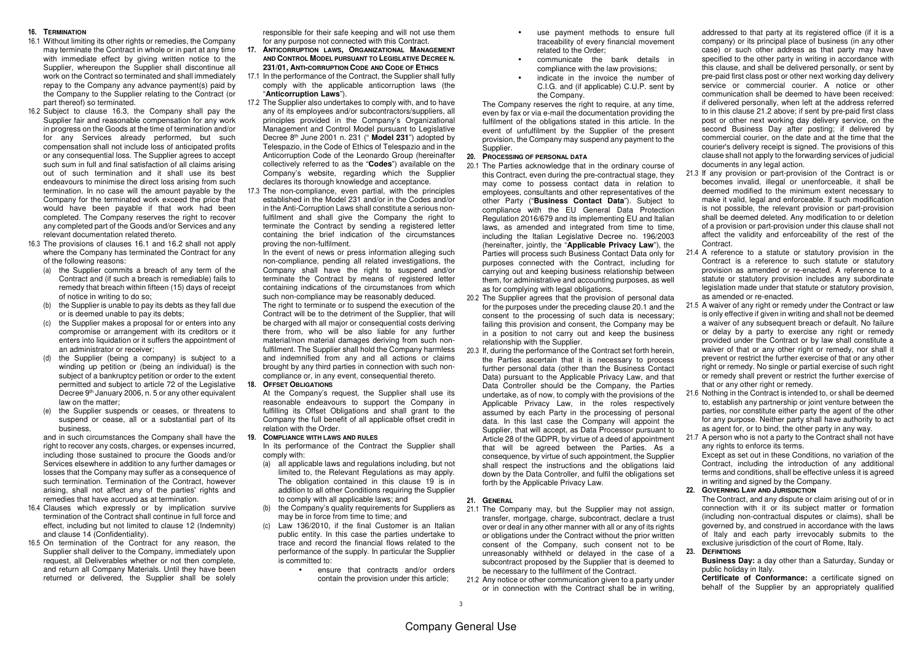#### **16. TERMINATION**

- 16.1 Without limiting its other rights or remedies, the Company may terminate the Contract in whole or in part at any time with immediate effect by giving written notice to the Supplier, whereupon the Supplier shall discontinue all work on the Contract so terminated and shall immediately repay to the Company any advance payment(s) paid by the Company to the Supplier relating to the Contract (or part thereof) so terminated.
- 16.2 Subject to clause 16.3, the Company shall pay the Supplier fair and reasonable compensation for any work in progress on the Goods at the time of termination and/or for any Services already performed, but such compensation shall not include loss of anticipated profits or any consequential loss. The Supplier agrees to accept such sum in full and final satisfaction of all claims arising out of such termination and it shall use its best endeavours to minimise the direct loss arising from such termination. In no case will the amount payable by the Company for the terminated work exceed the price that would have been payable if that work had been completed. The Company reserves the right to recover any completed part of the Goods and/or Services and any relevant documentation related thereto.
- 16.3 The provisions of clauses 16.1 and 16.2 shall not apply where the Company has terminated the Contract for any of the following reasons:
	- (a) the Supplier commits a breach of any term of the Contract and (if such a breach is remediable) fails to remedy that breach within fifteen (15) days of receipt of notice in writing to do so;
	- (b) the Supplier is unable to pay its debts as they fall due or is deemed unable to pay its debts;
	- (c) the Supplier makes a proposal for or enters into any compromise or arrangement with its creditors or it enters into liquidation or it suffers the appointment of an administrator or receiver;
	- (d) the Supplier (being a company) is subject to a winding up petition or (being an individual) is the subject of a bankruptcy petition or order to the extent permitted and subject to article 72 of the Legislative Decree 9<sup>th</sup> January 2006, n. 5 or any other equivalent law on the matter:
	- (e) the Supplier suspends or ceases, or threatens to suspend or cease, all or a substantial part of its business,

 and in such circumstances the Company shall have the right to recover any costs, charges, or expenses incurred, including those sustained to procure the Goods and/or Services elsewhere in addition to any further damages or losses that the Company may suffer as a consequence of such termination. Termination of the Contract, however arising, shall not affect any of the parties' rights and remedies that have accrued as at termination.

- 16.4 Clauses which expressly or by implication survive termination of the Contract shall continue in full force and effect, including but not limited to clause 12 (Indemnity) and clause 14 (Confidentiality).
- 16.5 On termination of the Contract for any reason, the Supplier shall deliver to the Company, immediately upon request, all Deliverables whether or not then complete, and return all Company Materials. Until they have been returned or delivered, the Supplier shall be solely

responsible for their safe keeping and will not use them for any purpose not connected with this Contract.

- **17. ANTICORRUPTION LAWS, ORGANIZATIONAL MANAGEMENT AND CONTROL MODEL PURSUANT TO LEGISLATIVE DECREE N.231/01,ANTI-CORRUPTION CODE AND CODE OF ETHICS**
- 17.1 In the performance of the Contract, the Supplier shall fully comply with the applicable anticorruption laws (the"**Anticorruption Laws**").
- 17.2 The Supplier also undertakes to comply with, and to have any of its employees and/or subcontractors/suppliers, all principles provided in the Company's Organizational Management and Control Model pursuant to Legislative Decree 8th June 2001 n. 231 (" **Model 231**") adopted by Telespazio, in the Code of Ethics of Telespazio and in the Anticorruption Code of the Leonardo Group (hereinafter collectively referred to as the "**Codes**") available on the Company's website, regarding which the Supplier declares its thorough knowledge and acceptance.
- 17.3 The non-compliance, even partial, with the principles established in the Model 231 and/or in the Codes and/or in the Anti-Corruption Laws shall constitute a serious nonfulfilment and shall give the Company the right to terminate the Contract by sending a registered letter containing the brief indication of the circumstances proving the non-fulfilment.

 In the event of news or press information alleging such non-compliance, pending all related investigations, the Company shall have the right to suspend and/or terminate the Contract by means of registered letter containing indications of the circumstances from which such non-compliance may be reasonably deduced.

 The right to terminate or to suspend the execution of the Contract will be to the detriment of the Supplier, that will be charged with all major or consequential costs deriving there from, who will be also liable for any further material/non material damages deriving from such nonfulfilment. The Supplier shall hold the Company harmless and indemnified from any and all actions or claims brought by any third parties in connection with such noncompliance or, in any event, consequential thereto.

**18. OFFSET OBLIGATIONS**

 At the Company's request, the Supplier shall use its reasonable endeavours to support the Company in fulfilling its Offset Obligations and shall grant to the Company the full benefit of all applicable offset credit in relation with the Order.

#### **19. COMPLIANCE WITH LAWS AND RULES**

 In its performance of the Contract the Supplier shall comply with:

- (a) all applicable laws and regulations including, but not limited to, the Relevant Regulations as may apply. The obligation contained in this clause 19 is in addition to all other Conditions requiring the Supplier to comply with all applicable laws; and
- (b) the Company's quality requirements for Suppliers as may be in force from time to time; and
- (c) Law 136/2010, if the final Customer is an Italian public entity. In this case the parties undertake to trace and record the financial flows related to the performance of the supply. In particular the Supplier is committed to:
	- ensure that contracts and/or orders contain the provision under this article;
- use payment methods to ensure full traceability of every financial movement related to the Order;
- communicate the bank details in compliance with the law provisions;
- indicate in the invoice the number of C.I.G. and (if applicable) C.U.P. sent by the Company.

 The Company reserves the right to require, at any time, even by fax or via e-mail the documentation providing the fulfilment of the obligations stated in this article. In the event of unfulfilment by the Supplier of the present provision, the Company may suspend any payment to the Supplier.

#### **20. PROCESSING OF PERSONAL DATA**

- 20.1 The Parties acknowledge that in the ordinary course of this Contract, even during the pre-contractual stage, they may come to possess contact data in relation to employees, consultants and other representatives of the other Party ("**Business Contact Data**"). Subject to compliance with the EU General Data Protection Regulation 2016/679 and its implementing EU and Italian laws, as amended and integrated from time to time, including the Italian Legislative Decree no. 196/2003 (hereinafter, jointly, the "**Applicable Privacy Law**"), the Parties will process such Business Contact Data only for purposes connected with the Contract, including for carrying out and keeping business relationship between them, for administrative and accounting purposes, as well as for complying with legal obligations.
- 20.2 The Supplier agrees that the provision of personal data for the purposes under the preceding clause 20.1 and the consent to the processing of such data is necessary; failing this provision and consent, the Company may be in a position to not carry out and keep the business relationship with the Supplier.
- 20.3 If, during the performance of the Contract set forth herein, the Parties ascertain that it is necessary to process further personal data (other than the Business Contact Data) pursuant to the Applicable Privacy Law, and that Data Controller should be the Company, the Parties undertake, as of now, to comply with the provisions of the Applicable Privacy Law, in the roles respectively assumed by each Party in the processing of personal data. In this last case the Company will appoint the Supplier, that will accept, as Data Processor pursuant to Article 28 of the GDPR, by virtue of a deed of appointment that will be agreed between the Parties. As a consequence, by virtue of such appointment, the Supplier shall respect the instructions and the obligations laid down by the Data Controller, and fulfil the obligations set forth by the Applicable Privacy Law.

#### **21. GENERAL**

- 21.1 The Company may, but the Supplier may not assign, transfer, mortgage, charge, subcontract, declare a trust over or deal in any other manner with all or any of its rights or obligations under the Contract without the prior written consent of the Company, such consent not to be unreasonably withheld or delayed in the case of a subcontract proposed by the Supplier that is deemed to be necessary to the fulfilment of the Contract.
- 21.2 Any notice or other communication given to a party under or in connection with the Contract shall be in writing,

addressed to that party at its registered office (if it is a company) or its principal place of business (in any other case) or such other address as that party may have specified to the other party in writing in accordance with this clause, and shall be delivered personally, or sent by pre-paid first class post or other next working day delivery service or commercial courier. A notice or other communication shall be deemed to have been received: if delivered personally, when left at the address referred to in this clause 21.2 above; if sent by pre-paid first class post or other next working day delivery service, on the second Business Day after posting; if delivered by commercial courier, on the date and at the time that the courier's delivery receipt is signed. The provisions of this clause shall not apply to the forwarding services of judicial documents in any legal action.

- 21.3 If any provision or part-provision of the Contract is or becomes invalid, illegal or unenforceable, it shall be deemed modified to the minimum extent necessary to make it valid, legal and enforceable. If such modification is not possible, the relevant provision or part-provision shall be deemed deleted. Any modification to or deletion of a provision or part-provision under this clause shall not affect the validity and enforceability of the rest of the Contract.
- 21.4 A reference to a statute or statutory provision in the Contract is a reference to such statute or statutory provision as amended or re-enacted. A reference to a statute or statutory provision includes any subordinate legislation made under that statute or statutory provision, as amended or re-enacted.
- 21.5 A waiver of any right or remedy under the Contract or law is only effective if given in writing and shall not be deemed a waiver of any subsequent breach or default. No failure or delay by a party to exercise any right or remedy provided under the Contract or by law shall constitute a waiver of that or any other right or remedy, nor shall it prevent or restrict the further exercise of that or any other right or remedy. No single or partial exercise of such right or remedy shall prevent or restrict the further exercise of that or any other right or remedy.
- 21.6 Nothing in the Contract is intended to, or shall be deemed to, establish any partnership or joint venture between the parties, nor constitute either party the agent of the other for any purpose. Neither party shall have authority to act as agent for, or to bind, the other party in any way.
- 21.7 A person who is not a party to the Contract shall not have any rights to enforce its terms.

 Except as set out in these Conditions, no variation of the Contract, including the introduction of any additional terms and conditions, shall be effective unless it is agreed in writing and signed by the Company.

#### **22. GOVERNING LAW AND JURISDICTION**

 The Contract, and any dispute or claim arising out of or in connection with it or its subject matter or formation (including non-contractual disputes or claims), shall be governed by, and construed in accordance with the laws of Italy and each party irrevocably submits to the exclusive jurisdiction of the court of Rome, Italy.

**23. DEFINITIONS**

 **Business Day:** a day other than a Saturday, Sunday or public holiday in Italy.

 **Certificate of Conformance:** a certificate signed on behalf of the Supplier by an appropriately qualified